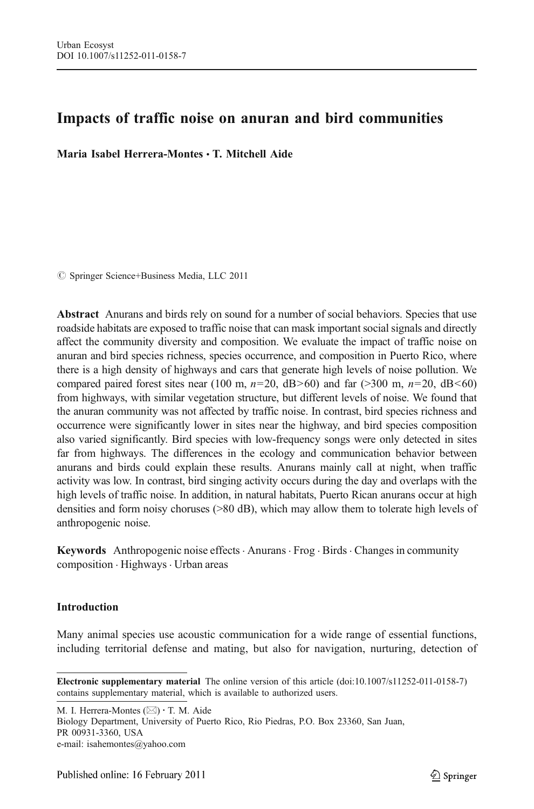# Impacts of traffic noise on anuran and bird communities

Maria Isabel Herrera-Montes & T. Mitchell Aide

 $\circ$  Springer Science+Business Media, LLC 2011

Abstract Anurans and birds rely on sound for a number of social behaviors. Species that use roadside habitats are exposed to traffic noise that can mask important social signals and directly affect the community diversity and composition. We evaluate the impact of traffic noise on anuran and bird species richness, species occurrence, and composition in Puerto Rico, where there is a high density of highways and cars that generate high levels of noise pollution. We compared paired forest sites near (100 m,  $n=20$ , dB>60) and far (>300 m,  $n=20$ , dB<60) from highways, with similar vegetation structure, but different levels of noise. We found that the anuran community was not affected by traffic noise. In contrast, bird species richness and occurrence were significantly lower in sites near the highway, and bird species composition also varied significantly. Bird species with low-frequency songs were only detected in sites far from highways. The differences in the ecology and communication behavior between anurans and birds could explain these results. Anurans mainly call at night, when traffic activity was low. In contrast, bird singing activity occurs during the day and overlaps with the high levels of traffic noise. In addition, in natural habitats, Puerto Rican anurans occur at high densities and form noisy choruses (>80 dB), which may allow them to tolerate high levels of anthropogenic noise.

Keywords Anthropogenic noise effects . Anurans . Frog . Birds . Changes in community composition . Highways . Urban areas

## Introduction

Many animal species use acoustic communication for a wide range of essential functions, including territorial defense and mating, but also for navigation, nurturing, detection of

M. I. Herrera-Montes  $(\boxtimes) \cdot$  T. M. Aide

Biology Department, University of Puerto Rico, Rio Piedras, P.O. Box 23360, San Juan, PR 00931-3360, USA e-mail: isahemontes@yahoo.com

Electronic supplementary material The online version of this article (doi[:10.1007/s11252-011-0158-7\)](http://dx.doi.org/10.1007/s11252-011-0158-7) contains supplementary material, which is available to authorized users.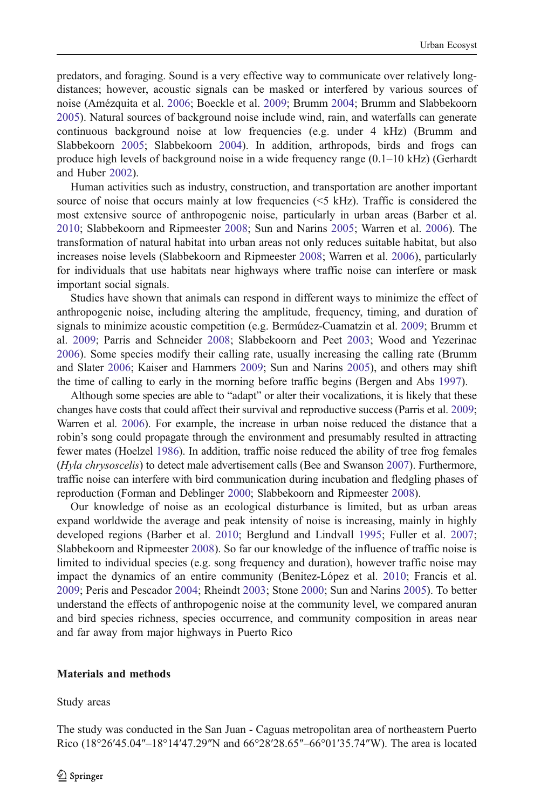predators, and foraging. Sound is a very effective way to communicate over relatively longdistances; however, acoustic signals can be masked or interfered by various sources of noise (Amézquita et al. [2006;](#page-10-0) Boeckle et al. [2009](#page-11-0); Brumm [2004;](#page-11-0) Brumm and Slabbekoorn [2005\)](#page-11-0). Natural sources of background noise include wind, rain, and waterfalls can generate continuous background noise at low frequencies (e.g. under 4 kHz) (Brumm and Slabbekoorn [2005;](#page-11-0) Slabbekoorn [2004](#page-12-0)). In addition, arthropods, birds and frogs can produce high levels of background noise in a wide frequency range (0.1–10 kHz) (Gerhardt and Huber [2002\)](#page-11-0).

Human activities such as industry, construction, and transportation are another important source of noise that occurs mainly at low frequencies  $(\leq 5 \text{ kHz})$ . Traffic is considered the most extensive source of anthropogenic noise, particularly in urban areas (Barber et al. [2010;](#page-10-0) Slabbekoorn and Ripmeester [2008;](#page-12-0) Sun and Narins [2005;](#page-12-0) Warren et al. [2006](#page-12-0)). The transformation of natural habitat into urban areas not only reduces suitable habitat, but also increases noise levels (Slabbekoorn and Ripmeester [2008](#page-12-0); Warren et al. [2006](#page-12-0)), particularly for individuals that use habitats near highways where traffic noise can interfere or mask important social signals.

Studies have shown that animals can respond in different ways to minimize the effect of anthropogenic noise, including altering the amplitude, frequency, timing, and duration of signals to minimize acoustic competition (e.g. Bermúdez-Cuamatzin et al. [2009](#page-11-0); Brumm et al. [2009;](#page-11-0) Parris and Schneider [2008;](#page-11-0) Slabbekoorn and Peet [2003;](#page-12-0) Wood and Yezerinac [2006\)](#page-12-0). Some species modify their calling rate, usually increasing the calling rate (Brumm and Slater [2006;](#page-11-0) Kaiser and Hammers [2009;](#page-11-0) Sun and Narins [2005\)](#page-12-0), and others may shift the time of calling to early in the morning before traffic begins (Bergen and Abs [1997\)](#page-11-0).

Although some species are able to "adapt" or alter their vocalizations, it is likely that these changes have costs that could affect their survival and reproductive success (Parris et al. [2009](#page-11-0); Warren et al. [2006\)](#page-12-0). For example, the increase in urban noise reduced the distance that a robin's song could propagate through the environment and presumably resulted in attracting fewer mates (Hoelzel [1986](#page-11-0)). In addition, traffic noise reduced the ability of tree frog females (Hyla chrysoscelis) to detect male advertisement calls (Bee and Swanson [2007\)](#page-11-0). Furthermore, traffic noise can interfere with bird communication during incubation and fledgling phases of reproduction (Forman and Deblinger [2000](#page-11-0); Slabbekoorn and Ripmeester [2008](#page-12-0)).

Our knowledge of noise as an ecological disturbance is limited, but as urban areas expand worldwide the average and peak intensity of noise is increasing, mainly in highly developed regions (Barber et al. [2010](#page-10-0); Berglund and Lindvall [1995](#page-11-0); Fuller et al. [2007](#page-11-0); Slabbekoorn and Ripmeester [2008\)](#page-12-0). So far our knowledge of the influence of traffic noise is limited to individual species (e.g. song frequency and duration), however traffic noise may impact the dynamics of an entire community (Benitez-López et al. [2010](#page-11-0); Francis et al. [2009;](#page-11-0) Peris and Pescador [2004;](#page-11-0) Rheindt [2003](#page-12-0); Stone [2000;](#page-12-0) Sun and Narins [2005](#page-12-0)). To better understand the effects of anthropogenic noise at the community level, we compared anuran and bird species richness, species occurrence, and community composition in areas near and far away from major highways in Puerto Rico

#### Materials and methods

Study areas

The study was conducted in the San Juan - Caguas metropolitan area of northeastern Puerto Rico (18°26′45.04″–18°14′47.29″N and 66°28′28.65″–66°01′35.74″W). The area is located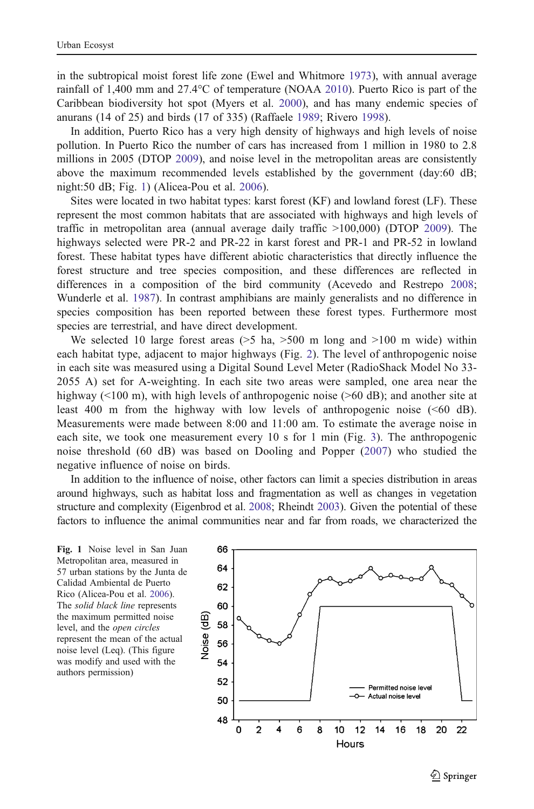<span id="page-2-0"></span>in the subtropical moist forest life zone (Ewel and Whitmore [1973](#page-11-0)), with annual average rainfall of 1,400 mm and 27.4°C of temperature (NOAA [2010\)](#page-11-0). Puerto Rico is part of the Caribbean biodiversity hot spot (Myers et al. [2000\)](#page-11-0), and has many endemic species of anurans (14 of 25) and birds (17 of 335) (Raffaele [1989](#page-12-0); Rivero [1998\)](#page-12-0).

In addition, Puerto Rico has a very high density of highways and high levels of noise pollution. In Puerto Rico the number of cars has increased from 1 million in 1980 to 2.8 millions in 2005 (DTOP [2009\)](#page-11-0), and noise level in the metropolitan areas are consistently above the maximum recommended levels established by the government (day:60 dB; night:50 dB; Fig. 1) (Alicea-Pou et al. [2006](#page-10-0)).

Sites were located in two habitat types: karst forest (KF) and lowland forest (LF). These represent the most common habitats that are associated with highways and high levels of traffic in metropolitan area (annual average daily traffic >100,000) (DTOP [2009](#page-11-0)). The highways selected were PR-2 and PR-22 in karst forest and PR-1 and PR-52 in lowland forest. These habitat types have different abiotic characteristics that directly influence the forest structure and tree species composition, and these differences are reflected in differences in a composition of the bird community (Acevedo and Restrepo [2008](#page-10-0); Wunderle et al. [1987](#page-12-0)). In contrast amphibians are mainly generalists and no difference in species composition has been reported between these forest types. Furthermore most species are terrestrial, and have direct development.

We selected 10 large forest areas  $(5 \text{ ha}, 500 \text{ m} \text{ long} \text{ and } 5100 \text{ m} \text{ wide})$  within each habitat type, adjacent to major highways (Fig. [2](#page-3-0)). The level of anthropogenic noise in each site was measured using a Digital Sound Level Meter (RadioShack Model No 33- 2055 A) set for A-weighting. In each site two areas were sampled, one area near the highway (<100 m), with high levels of anthropogenic noise (>60 dB); and another site at least 400 m from the highway with low levels of anthropogenic noise (<60 dB). Measurements were made between 8:00 and 11:00 am. To estimate the average noise in each site, we took one measurement every 10 s for 1 min (Fig. [3\)](#page-3-0). The anthropogenic noise threshold (60 dB) was based on Dooling and Popper ([2007](#page-11-0)) who studied the negative influence of noise on birds.

In addition to the influence of noise, other factors can limit a species distribution in areas around highways, such as habitat loss and fragmentation as well as changes in vegetation structure and complexity (Eigenbrod et al. [2008](#page-11-0); Rheindt [2003\)](#page-12-0). Given the potential of these factors to influence the animal communities near and far from roads, we characterized the

Fig. 1 Noise level in San Juan Metropolitan area, measured in 57 urban stations by the Junta de Calidad Ambiental de Puerto Rico (Alicea-Pou et al. [2006](#page-10-0)). The solid black line represents the maximum permitted noise level, and the open circles represent the mean of the actual noise level (Leq). (This figure was modify and used with the authors permission)

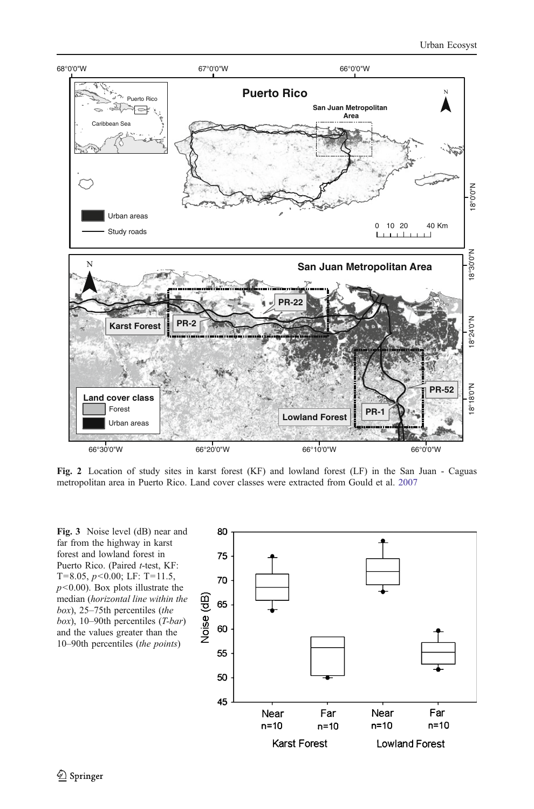<span id="page-3-0"></span>

Fig. 2 Location of study sites in karst forest (KF) and lowland forest (LF) in the San Juan - Caguas metropolitan area in Puerto Rico. Land cover classes were extracted from Gould et al. [2007](#page-11-0)

Fig. 3 Noise level (dB) near and far from the highway in karst forest and lowland forest in Puerto Rico. (Paired t-test, KF: T=8.05,  $p$ <0.00; LF: T=11.5,  $p$ <0.00). Box plots illustrate the median (horizontal line within the box), 25–75th percentiles (the box), 10–90th percentiles (T-bar) and the values greater than the 10–90th percentiles (the points)

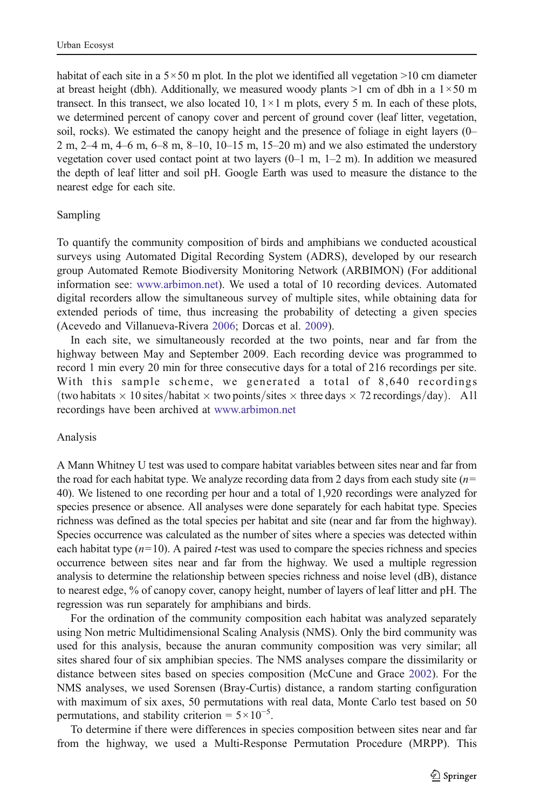habitat of each site in a  $5 \times 50$  m plot. In the plot we identified all vegetation  $>10$  cm diameter at breast height (dbh). Additionally, we measured woody plants  $>1$  cm of dbh in a  $1 \times 50$  m transect. In this transect, we also located 10,  $1 \times 1$  m plots, every 5 m. In each of these plots, we determined percent of canopy cover and percent of ground cover (leaf litter, vegetation, soil, rocks). We estimated the canopy height and the presence of foliage in eight layers (0– 2 m, 2–4 m, 4–6 m, 6–8 m, 8–10, 10–15 m, 15–20 m) and we also estimated the understory vegetation cover used contact point at two layers  $(0-1 \text{ m}, 1-2 \text{ m})$ . In addition we measured the depth of leaf litter and soil pH. Google Earth was used to measure the distance to the nearest edge for each site.

### Sampling

To quantify the community composition of birds and amphibians we conducted acoustical surveys using Automated Digital Recording System (ADRS), developed by our research group Automated Remote Biodiversity Monitoring Network (ARBIMON) (For additional information see: [www.arbimon.net\)](http://www.arbimon.net). We used a total of 10 recording devices. Automated digital recorders allow the simultaneous survey of multiple sites, while obtaining data for extended periods of time, thus increasing the probability of detecting a given species (Acevedo and Villanueva-Rivera [2006;](#page-10-0) Dorcas et al. [2009\)](#page-11-0).

In each site, we simultaneously recorded at the two points, near and far from the highway between May and September 2009. Each recording device was programmed to record 1 min every 20 min for three consecutive days for a total of 216 recordings per site. With this sample scheme, we generated a total of 8,640 recordings (two habitats  $\times$  10 sites/habitat  $\times$  two points/sites  $\times$  three days  $\times$  72 recordings/day). All recordings have been archived at [www.arbimon.net](http://www.arbimon.net)

#### Analysis

A Mann Whitney U test was used to compare habitat variables between sites near and far from the road for each habitat type. We analyze recording data from 2 days from each study site  $(n=$ 40). We listened to one recording per hour and a total of 1,920 recordings were analyzed for species presence or absence. All analyses were done separately for each habitat type. Species richness was defined as the total species per habitat and site (near and far from the highway). Species occurrence was calculated as the number of sites where a species was detected within each habitat type  $(n=10)$ . A paired *t*-test was used to compare the species richness and species occurrence between sites near and far from the highway. We used a multiple regression analysis to determine the relationship between species richness and noise level (dB), distance to nearest edge, % of canopy cover, canopy height, number of layers of leaf litter and pH. The regression was run separately for amphibians and birds.

For the ordination of the community composition each habitat was analyzed separately using Non metric Multidimensional Scaling Analysis (NMS). Only the bird community was used for this analysis, because the anuran community composition was very similar; all sites shared four of six amphibian species. The NMS analyses compare the dissimilarity or distance between sites based on species composition (McCune and Grace [2002\)](#page-11-0). For the NMS analyses, we used Sorensen (Bray-Curtis) distance, a random starting configuration with maximum of six axes, 50 permutations with real data, Monte Carlo test based on 50 permutations, and stability criterion =  $5 \times 10^{-5}$ .

To determine if there were differences in species composition between sites near and far from the highway, we used a Multi-Response Permutation Procedure (MRPP). This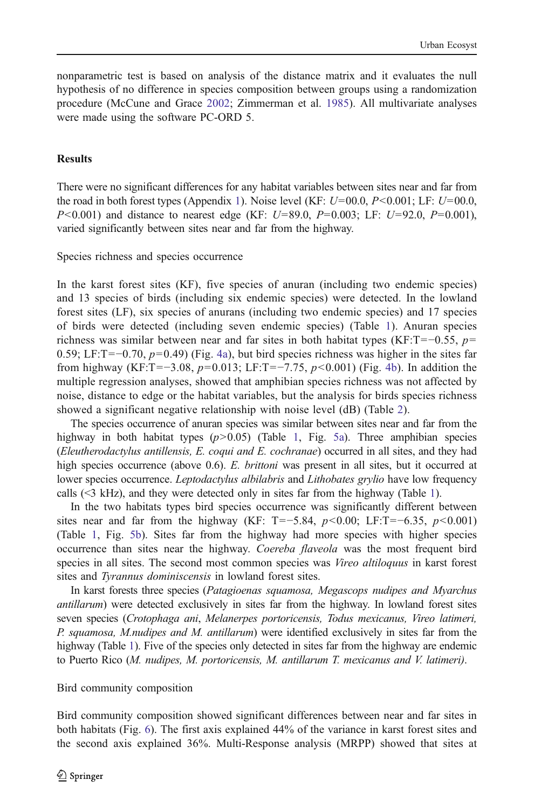nonparametric test is based on analysis of the distance matrix and it evaluates the null hypothesis of no difference in species composition between groups using a randomization procedure (McCune and Grace [2002](#page-11-0); Zimmerman et al. [1985](#page-12-0)). All multivariate analyses were made using the software PC-ORD 5.

## **Results**

There were no significant differences for any habitat variables between sites near and far from the road in both forest types (Appendix 1). Noise level (KF:  $U=00.0$ ,  $P<0.001$ ; LF:  $U=00.0$ ,  $P<0.001$ ) and distance to nearest edge (KF:  $U=89.0$ ,  $P=0.003$ ; LF:  $U=92.0$ ,  $P=0.001$ ), varied significantly between sites near and far from the highway.

Species richness and species occurrence

In the karst forest sites (KF), five species of anuran (including two endemic species) and 13 species of birds (including six endemic species) were detected. In the lowland forest sites (LF), six species of anurans (including two endemic species) and 17 species of birds were detected (including seven endemic species) (Table [1](#page-6-0)). Anuran species richness was similar between near and far sites in both habitat types (KF:T=−0.55,  $p=$ 0.59; LF:T= $-0.70$ ,  $p=0.49$ ) (Fig. [4a\)](#page-7-0), but bird species richness was higher in the sites far from highway (KF:T=−3.08,  $p=0.013$ ; LF:T=−7.75,  $p<0.001$ ) (Fig. [4b\)](#page-7-0). In addition the multiple regression analyses, showed that amphibian species richness was not affected by noise, distance to edge or the habitat variables, but the analysis for birds species richness showed a significant negative relationship with noise level (dB) (Table [2](#page-8-0)).

The species occurrence of anuran species was similar between sites near and far from the highway in both habitat types  $(p>0.05)$  (Table [1,](#page-6-0) Fig. [5a](#page-8-0)). Three amphibian species (Eleutherodactylus antillensis, E. coqui and E. cochranae) occurred in all sites, and they had high species occurrence (above 0.6). E. brittoni was present in all sites, but it occurred at lower species occurrence. *Leptodactylus albilabris* and *Lithobates grylio* have low frequency calls  $(\leq$ 3 kHz), and they were detected only in sites far from the highway (Table [1\)](#page-6-0).

In the two habitats types bird species occurrence was significantly different between sites near and far from the highway (KF: T=−5.84,  $p$ <0.00; LF:T=−6.35,  $p$ <0.001) (Table [1](#page-6-0), Fig. [5b](#page-8-0)). Sites far from the highway had more species with higher species occurrence than sites near the highway. Coereba flaveola was the most frequent bird species in all sites. The second most common species was *Vireo altiloquus* in karst forest sites and Tyrannus dominiscensis in lowland forest sites.

In karst forests three species (Patagioenas squamosa, Megascops nudipes and Myarchus antillarum) were detected exclusively in sites far from the highway. In lowland forest sites seven species (Crotophaga ani, Melanerpes portoricensis, Todus mexicanus, Vireo latimeri, P. squamosa, M.nudipes and M. antillarum) were identified exclusively in sites far from the highway (Table [1\)](#page-6-0). Five of the species only detected in sites far from the highway are endemic to Puerto Rico (M. nudipes, M. portoricensis, M. antillarum T. mexicanus and V. latimeri).

## Bird community composition

Bird community composition showed significant differences between near and far sites in both habitats (Fig. [6\)](#page-9-0). The first axis explained 44% of the variance in karst forest sites and the second axis explained 36%. Multi-Response analysis (MRPP) showed that sites at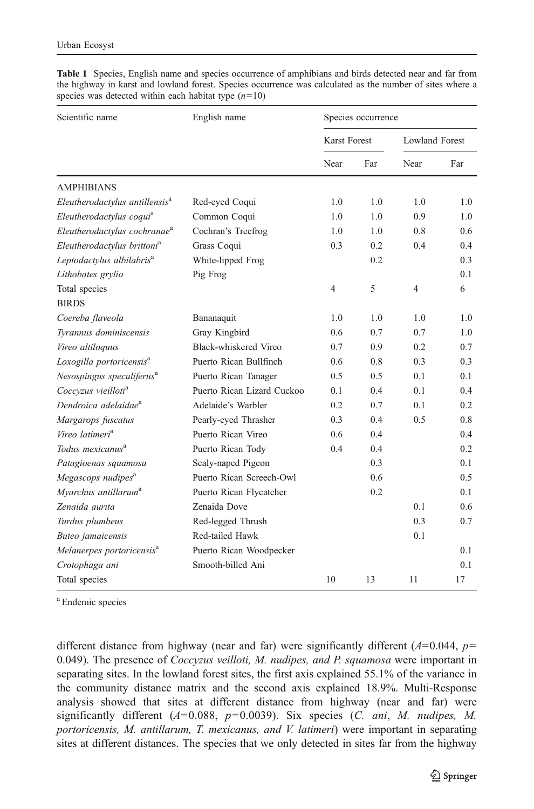| Scientific name                            | English name               | Species occurrence |     |                       |     |
|--------------------------------------------|----------------------------|--------------------|-----|-----------------------|-----|
|                                            |                            | Karst Forest       |     | <b>Lowland Forest</b> |     |
|                                            |                            | Near               | Far | Near                  | Far |
| <b>AMPHIBIANS</b>                          |                            |                    |     |                       |     |
| Eleutherodactylus antillensis <sup>a</sup> | Red-eyed Coqui             | 1.0                | 1.0 | 1.0                   | 1.0 |
| Eleutherodactylus coqui <sup>a</sup>       | Common Coqui               | 1.0                | 1.0 | 0.9                   | 1.0 |
| Eleutherodactylus cochranae <sup>a</sup>   | Cochran's Treefrog         | 1.0                | 1.0 | 0.8                   | 0.6 |
| Eleutherodactylus brittoni <sup>a</sup>    | Grass Coqui                | 0.3                | 0.2 | 0.4                   | 0.4 |
| Leptodactylus albilabris <sup>a</sup>      | White-lipped Frog          |                    | 0.2 |                       | 0.3 |
| Lithobates grylio                          | Pig Frog                   |                    |     |                       | 0.1 |
| Total species                              |                            | $\overline{4}$     | 5   | 4                     | 6   |
| <b>BIRDS</b>                               |                            |                    |     |                       |     |
| Coereba flaveola                           | Bananaquit                 | 1.0                | 1.0 | 1.0                   | 1.0 |
| Tyrannus dominiscensis                     | Gray Kingbird              | 0.6                | 0.7 | 0.7                   | 1.0 |
| Vireo altiloquus                           | Black-whiskered Vireo      | 0.7                | 0.9 | 0.2                   | 0.7 |
| Loxogilla portoricensis <sup>a</sup>       | Puerto Rican Bullfinch     | 0.6                | 0.8 | 0.3                   | 0.3 |
| Nesospingus speculiferus <sup>a</sup>      | Puerto Rican Tanager       | 0.5                | 0.5 | 0.1                   | 0.1 |
| Coccvzus vieilloti <sup>a</sup>            | Puerto Rican Lizard Cuckoo | 0.1                | 0.4 | 0.1                   | 0.4 |
| Dendroica adelaidae <sup>a</sup>           | Adelaide's Warbler         | 0.2                | 0.7 | 0.1                   | 0.2 |
| Margarops fuscatus                         | Pearly-eyed Thrasher       | 0.3                | 0.4 | 0.5                   | 0.8 |
| Vireo latimeri <sup>a</sup>                | Puerto Rican Vireo         | 0.6                | 0.4 |                       | 0.4 |
| Todus mexicanus <sup>a</sup>               | Puerto Rican Tody          | 0.4                | 0.4 |                       | 0.2 |
| Patagioenas squamosa                       | Scaly-naped Pigeon         |                    | 0.3 |                       | 0.1 |
| Megascops nudipes <sup>a</sup>             | Puerto Rican Screech-Owl   |                    | 0.6 |                       | 0.5 |
| Myarchus antillarum <sup>a</sup>           | Puerto Rican Flycatcher    |                    | 0.2 |                       | 0.1 |
| Zenaida aurita                             | Zenaida Dove               |                    |     | 0.1                   | 0.6 |
| Turdus plumbeus                            | Red-legged Thrush          |                    |     | 0.3                   | 0.7 |
| Buteo jamaicensis                          | Red-tailed Hawk            |                    |     | 0.1                   |     |
| Melanerpes portoricensis <sup>a</sup>      | Puerto Rican Woodpecker    |                    |     |                       | 0.1 |
| Crotophaga ani                             | Smooth-billed Ani          |                    |     |                       | 0.1 |
| Total species                              |                            | 10                 | 13  | 11                    | 17  |

<span id="page-6-0"></span>Table 1 Species, English name and species occurrence of amphibians and birds detected near and far from the highway in karst and lowland forest. Species occurrence was calculated as the number of sites where a species was detected within each habitat type  $(n=10)$ 

<sup>a</sup> Endemic species

different distance from highway (near and far) were significantly different ( $A=0.044$ ,  $p=$ 0.049). The presence of  $Cocczzus$  veilloti, M. nudipes, and P. squamosa were important in separating sites. In the lowland forest sites, the first axis explained 55.1% of the variance in the community distance matrix and the second axis explained 18.9%. Multi-Response analysis showed that sites at different distance from highway (near and far) were significantly different ( $A=0.088$ ,  $p=0.0039$ ). Six species (C. ani, M. nudipes, M. portoricensis, M. antillarum, T. mexicanus, and V. latimeri) were important in separating sites at different distances. The species that we only detected in sites far from the highway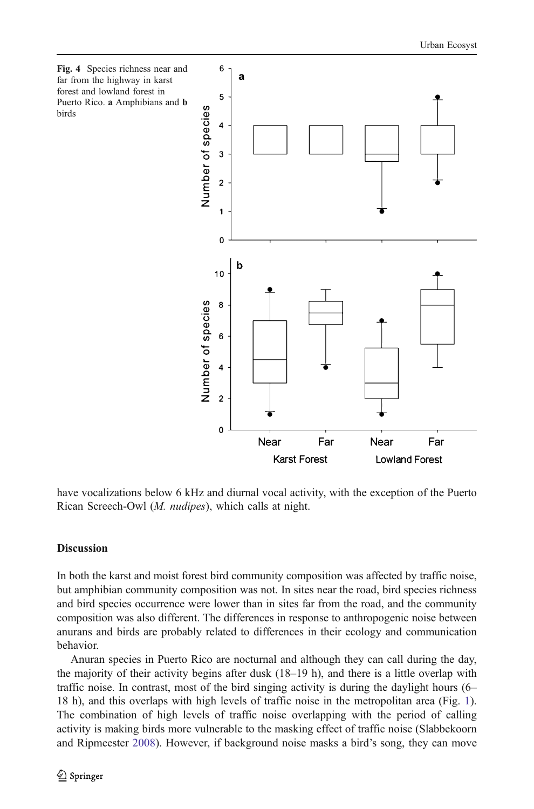<span id="page-7-0"></span>

have vocalizations below 6 kHz and diurnal vocal activity, with the exception of the Puerto Rican Screech-Owl (M. nudipes), which calls at night.

## **Discussion**

In both the karst and moist forest bird community composition was affected by traffic noise, but amphibian community composition was not. In sites near the road, bird species richness and bird species occurrence were lower than in sites far from the road, and the community composition was also different. The differences in response to anthropogenic noise between anurans and birds are probably related to differences in their ecology and communication behavior.

Anuran species in Puerto Rico are nocturnal and although they can call during the day, the majority of their activity begins after dusk (18–19 h), and there is a little overlap with traffic noise. In contrast, most of the bird singing activity is during the daylight hours (6– 18 h), and this overlaps with high levels of traffic noise in the metropolitan area (Fig. [1](#page-2-0)). The combination of high levels of traffic noise overlapping with the period of calling activity is making birds more vulnerable to the masking effect of traffic noise (Slabbekoorn and Ripmeester [2008](#page-12-0)). However, if background noise masks a bird's song, they can move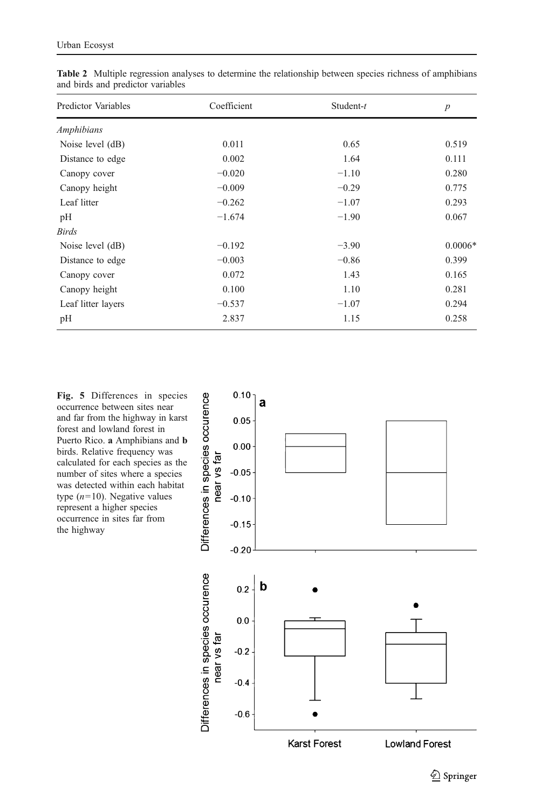| Predictor Variables | Coefficient | Student- $t$ | $\boldsymbol{p}$ |
|---------------------|-------------|--------------|------------------|
| Amphibians          |             |              |                  |
| Noise level (dB)    | 0.011       | 0.65         | 0.519            |
| Distance to edge    | 0.002       | 1.64         | 0.111            |
| Canopy cover        | $-0.020$    | $-1.10$      | 0.280            |
| Canopy height       | $-0.009$    | $-0.29$      | 0.775            |
| Leaf litter         | $-0.262$    | $-1.07$      | 0.293            |
| pH                  | $-1.674$    | $-1.90$      | 0.067            |
| <b>Birds</b>        |             |              |                  |
| Noise level (dB)    | $-0.192$    | $-3.90$      | $0.0006*$        |
| Distance to edge    | $-0.003$    | $-0.86$      | 0.399            |
| Canopy cover        | 0.072       | 1.43         | 0.165            |
| Canopy height       | 0.100       | 1.10         | 0.281            |
| Leaf litter layers  | $-0.537$    | $-1.07$      | 0.294            |
| pH                  | 2.837       | 1.15         | 0.258            |

<span id="page-8-0"></span>Table 2 Multiple regression analyses to determine the relationship between species richness of amphibians and birds and predictor variables

Fig. 5 Differences in species occurrence between sites near and far from the highway in karst forest and lowland forest in Puerto Rico. a Amphibians and b birds. Relative frequency was calculated for each species as the number of sites where a species was detected within each habitat type  $(n=10)$ . Negative values represent a higher species occurrence in sites far from the highway

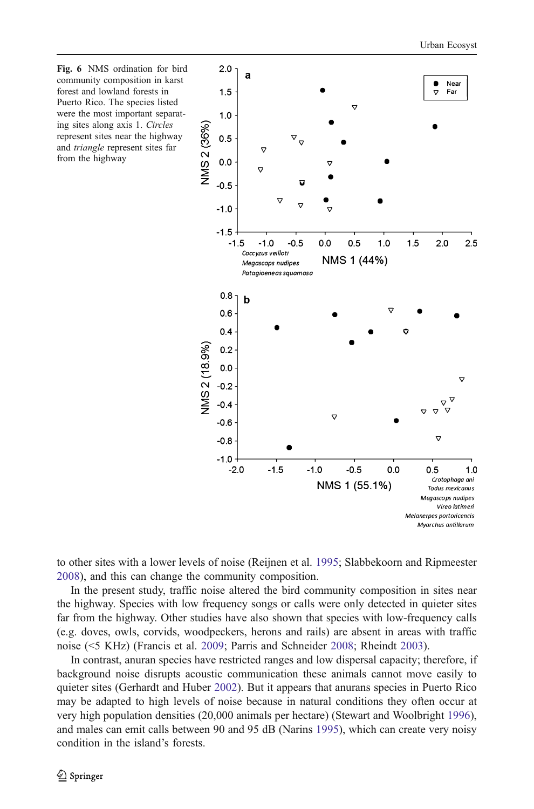

<span id="page-9-0"></span>

to other sites with a lower levels of noise (Reijnen et al. [1995;](#page-12-0) Slabbekoorn and Ripmeester [2008\)](#page-12-0), and this can change the community composition.

In the present study, traffic noise altered the bird community composition in sites near the highway. Species with low frequency songs or calls were only detected in quieter sites far from the highway. Other studies have also shown that species with low-frequency calls (e.g. doves, owls, corvids, woodpeckers, herons and rails) are absent in areas with traffic noise (<5 KHz) (Francis et al. [2009](#page-11-0); Parris and Schneider [2008](#page-11-0); Rheindt [2003\)](#page-12-0).

In contrast, anuran species have restricted ranges and low dispersal capacity; therefore, if background noise disrupts acoustic communication these animals cannot move easily to quieter sites (Gerhardt and Huber [2002](#page-11-0)). But it appears that anurans species in Puerto Rico may be adapted to high levels of noise because in natural conditions they often occur at very high population densities (20,000 animals per hectare) (Stewart and Woolbright [1996](#page-12-0)), and males can emit calls between 90 and 95 dB (Narins [1995\)](#page-11-0), which can create very noisy condition in the island's forests.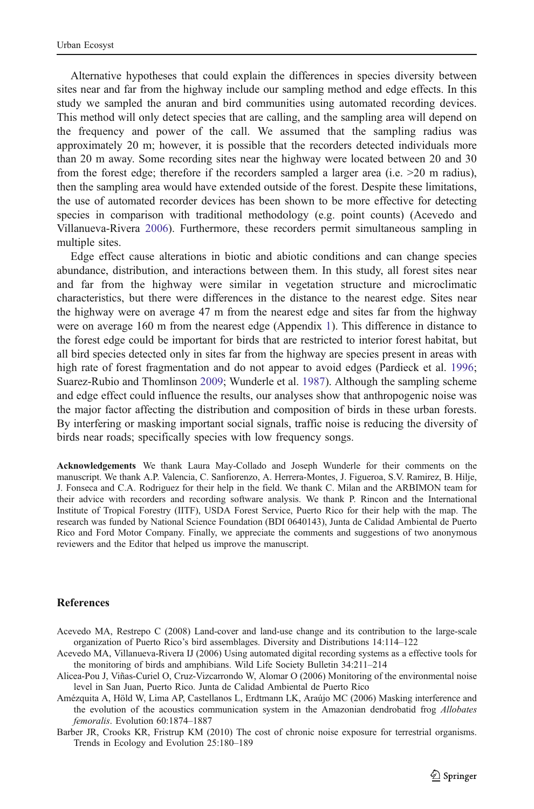<span id="page-10-0"></span>Alternative hypotheses that could explain the differences in species diversity between sites near and far from the highway include our sampling method and edge effects. In this study we sampled the anuran and bird communities using automated recording devices. This method will only detect species that are calling, and the sampling area will depend on the frequency and power of the call. We assumed that the sampling radius was approximately 20 m; however, it is possible that the recorders detected individuals more than 20 m away. Some recording sites near the highway were located between 20 and 30 from the forest edge; therefore if the recorders sampled a larger area (i.e. >20 m radius), then the sampling area would have extended outside of the forest. Despite these limitations, the use of automated recorder devices has been shown to be more effective for detecting species in comparison with traditional methodology (e.g. point counts) (Acevedo and Villanueva-Rivera 2006). Furthermore, these recorders permit simultaneous sampling in multiple sites.

Edge effect cause alterations in biotic and abiotic conditions and can change species abundance, distribution, and interactions between them. In this study, all forest sites near and far from the highway were similar in vegetation structure and microclimatic characteristics, but there were differences in the distance to the nearest edge. Sites near the highway were on average 47 m from the nearest edge and sites far from the highway were on average 160 m from the nearest edge (Appendix 1). This difference in distance to the forest edge could be important for birds that are restricted to interior forest habitat, but all bird species detected only in sites far from the highway are species present in areas with high rate of forest fragmentation and do not appear to avoid edges (Pardieck et al. [1996](#page-11-0); Suarez-Rubio and Thomlinson [2009;](#page-12-0) Wunderle et al. [1987\)](#page-12-0). Although the sampling scheme and edge effect could influence the results, our analyses show that anthropogenic noise was the major factor affecting the distribution and composition of birds in these urban forests. By interfering or masking important social signals, traffic noise is reducing the diversity of birds near roads; specifically species with low frequency songs.

Acknowledgements We thank Laura May-Collado and Joseph Wunderle for their comments on the manuscript. We thank A.P. Valencia, C. Sanfiorenzo, A. Herrera-Montes, J. Figueroa, S.V. Ramirez, B. Hilje, J. Fonseca and C.A. Rodriguez for their help in the field. We thank C. Milan and the ARBIMON team for their advice with recorders and recording software analysis. We thank P. Rincon and the International Institute of Tropical Forestry (IITF), USDA Forest Service, Puerto Rico for their help with the map. The research was funded by National Science Foundation (BDI 0640143), Junta de Calidad Ambiental de Puerto Rico and Ford Motor Company. Finally, we appreciate the comments and suggestions of two anonymous reviewers and the Editor that helped us improve the manuscript.

#### References

- Acevedo MA, Restrepo C (2008) Land-cover and land-use change and its contribution to the large-scale organization of Puerto Rico's bird assemblages. Diversity and Distributions 14:114–122
- Acevedo MA, Villanueva-Rivera IJ (2006) Using automated digital recording systems as a effective tools for the monitoring of birds and amphibians. Wild Life Society Bulletin 34:211–214
- Alicea-Pou J, Viñas-Curiel O, Cruz-Vizcarrondo W, Alomar O (2006) Monitoring of the environmental noise level in San Juan, Puerto Rico. Junta de Calidad Ambiental de Puerto Rico
- Amézquita A, Höld W, Lima AP, Castellanos L, Erdtmann LK, Araújo MC (2006) Masking interference and the evolution of the acoustics communication system in the Amazonian dendrobatid frog Allobates femoralis. Evolution 60:1874–1887
- Barber JR, Crooks KR, Fristrup KM (2010) The cost of chronic noise exposure for terrestrial organisms. Trends in Ecology and Evolution 25:180–189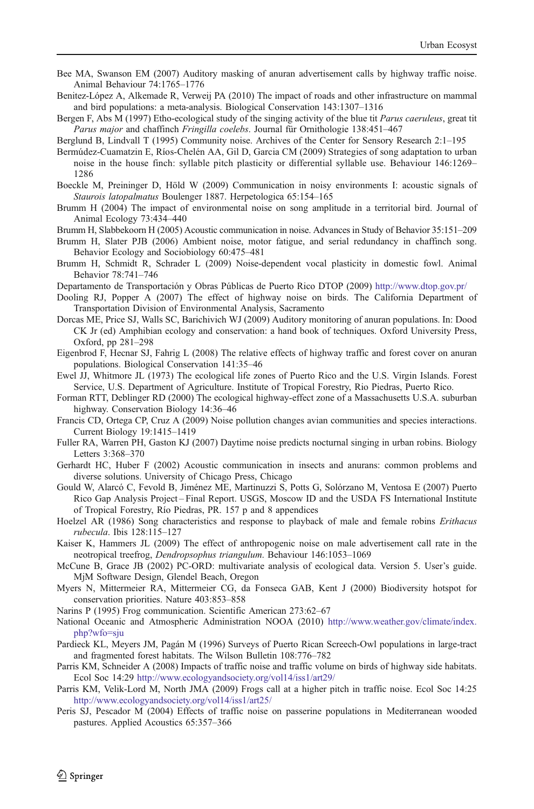- <span id="page-11-0"></span>Bee MA, Swanson EM (2007) Auditory masking of anuran advertisement calls by highway traffic noise. Animal Behaviour 74:1765–1776
- Benitez-López A, Alkemade R, Verweij PA (2010) The impact of roads and other infrastructure on mammal and bird populations: a meta-analysis. Biological Conservation 143:1307–1316
- Bergen F, Abs M (1997) Etho-ecological study of the singing activity of the blue tit *Parus caeruleus*, great tit Parus major and chaffinch Fringilla coelebs. Journal für Ornithologie 138:451–467

Berglund B, Lindvall T (1995) Community noise. Archives of the Center for Sensory Research 2:1–195

Bermúdez-Cuamatzin E, Ríos-Chelén AA, Gil D, Garcia CM (2009) Strategies of song adaptation to urban noise in the house finch: syllable pitch plasticity or differential syllable use. Behaviour 146:1269– 1286

Boeckle M, Preininger D, Höld W (2009) Communication in noisy environments I: acoustic signals of Staurois latopalmatus Boulenger 1887. Herpetologica 65:154–165

Brumm H (2004) The impact of environmental noise on song amplitude in a territorial bird. Journal of Animal Ecology 73:434–440

Brumm H, Slabbekoorn H (2005) Acoustic communication in noise. Advances in Study of Behavior 35:151–209

- Brumm H, Slater PJB (2006) Ambient noise, motor fatigue, and serial redundancy in chaffinch song. Behavior Ecology and Sociobiology 60:475–481
- Brumm H, Schmidt R, Schrader L (2009) Noise-dependent vocal plasticity in domestic fowl. Animal Behavior 78:741–746
- Departamento de Transportación y Obras Públicas de Puerto Rico DTOP (2009) <http://www.dtop.gov.pr/>
- Dooling RJ, Popper A (2007) The effect of highway noise on birds. The California Department of Transportation Division of Environmental Analysis, Sacramento
- Dorcas ME, Price SJ, Walls SC, Barichivich WJ (2009) Auditory monitoring of anuran populations. In: Dood CK Jr (ed) Amphibian ecology and conservation: a hand book of techniques. Oxford University Press, Oxford, pp 281–298
- Eigenbrod F, Hecnar SJ, Fahrig L (2008) The relative effects of highway traffic and forest cover on anuran populations. Biological Conservation 141:35–46
- Ewel JJ, Whitmore JL (1973) The ecological life zones of Puerto Rico and the U.S. Virgin Islands. Forest Service, U.S. Department of Agriculture. Institute of Tropical Forestry, Rio Piedras, Puerto Rico.
- Forman RTT, Deblinger RD (2000) The ecological highway-effect zone of a Massachusetts U.S.A. suburban highway. Conservation Biology 14:36–46
- Francis CD, Ortega CP, Cruz A (2009) Noise pollution changes avian communities and species interactions. Current Biology 19:1415–1419
- Fuller RA, Warren PH, Gaston KJ (2007) Daytime noise predicts nocturnal singing in urban robins. Biology Letters 3:368–370
- Gerhardt HC, Huber F (2002) Acoustic communication in insects and anurans: common problems and diverse solutions. University of Chicago Press, Chicago
- Gould W, Alarcó C, Fevold B, Jiménez ME, Martinuzzi S, Potts G, Solórzano M, Ventosa E (2007) Puerto Rico Gap Analysis Project – Final Report. USGS, Moscow ID and the USDA FS International Institute of Tropical Forestry, Río Piedras, PR. 157 p and 8 appendices
- Hoelzel AR (1986) Song characteristics and response to playback of male and female robins *Erithacus* rubecula. Ibis 128:115–127
- Kaiser K, Hammers JL (2009) The effect of anthropogenic noise on male advertisement call rate in the neotropical treefrog, Dendropsophus triangulum. Behaviour 146:1053–1069
- McCune B, Grace JB (2002) PC-ORD: multivariate analysis of ecological data. Version 5. User's guide. MjM Software Design, Glendel Beach, Oregon
- Myers N, Mittermeier RA, Mittermeier CG, da Fonseca GAB, Kent J (2000) Biodiversity hotspot for conservation priorities. Nature 403:853–858
- Narins P (1995) Frog communication. Scientific American 273:62–67
- National Oceanic and Atmospheric Administration NOOA (2010) [http://www.weather.gov/climate/index.](http://www.weather.gov/climate/index.php?wfo=sju) [php?wfo=sju](http://www.weather.gov/climate/index.php?wfo=sju)
- Pardieck KL, Meyers JM, Pagán M (1996) Surveys of Puerto Rican Screech-Owl populations in large-tract and fragmented forest habitats. The Wilson Bulletin 108:776–782
- Parris KM, Schneider A (2008) Impacts of traffic noise and traffic volume on birds of highway side habitats. Ecol Soc 14:29 <http://www.ecologyandsociety.org/vol14/iss1/art29/>
- Parris KM, Velik-Lord M, North JMA (2009) Frogs call at a higher pitch in traffic noise. Ecol Soc 14:25 <http://www.ecologyandsociety.org/vol14/iss1/art25/>
- Peris SJ, Pescador M (2004) Effects of traffic noise on passerine populations in Mediterranean wooded pastures. Applied Acoustics 65:357–366